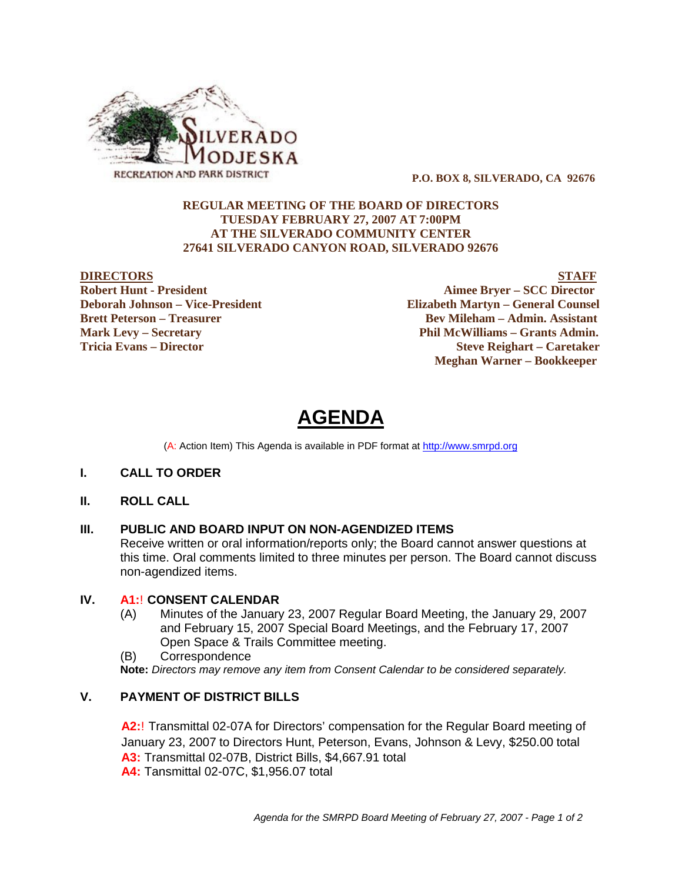

 **P.O. BOX 8, SILVERADO, CA 92676**

# **REGULAR MEETING OF THE BOARD OF DIRECTORS TUESDAY FEBRUARY 27, 2007 AT 7:00PM AT THE SILVERADO COMMUNITY CENTER 27641 SILVERADO CANYON ROAD, SILVERADO 92676**

**DIRECTORS**<br>
Robert Hunt - President<br>
Robert Hunt - President **Aimee Bryer – SCC Director Deborah Johnson – Vice-President Elizabeth Martyn – General Counsel Brett Peterson – Treasurer Serverson – Bev Mileham – Admin. Assistant Mark Levy – Secretary Phil McWilliams – Grants Admin. Tricia Evans – Director Steve Reighart – Caretaker Meghan Warner – Bookkeeper**

# **AGENDA**

(A: Action Item) This Agenda is available in PDF format at http://www.smrpd.org

# **I. CALL TO ORDER**

# **II. ROLL CALL**

# **III. PUBLIC AND BOARD INPUT ON NON-AGENDIZED ITEMS**

Receive written or oral information/reports only; the Board cannot answer questions at this time. Oral comments limited to three minutes per person. The Board cannot discuss non-agendized items.

# **IV. A1:**! **CONSENT CALENDAR**

- (A) Minutes of the January 23, 2007 Regular Board Meeting, the January 29, 2007 and February 15, 2007 Special Board Meetings, and the February 17, 2007 Open Space & Trails Committee meeting.
- (B) Correspondence

**Note:** *Directors may remove any item from Consent Calendar to be considered separately.*

# **V. PAYMENT OF DISTRICT BILLS**

**A2:**! Transmittal 02-07A for Directors' compensation for the Regular Board meeting of January 23, 2007 to Directors Hunt, Peterson, Evans, Johnson & Levy, \$250.00 total **A3:** Transmittal 02-07B, District Bills, \$4,667.91 total **A4:** Tansmittal 02-07C, \$1,956.07 total